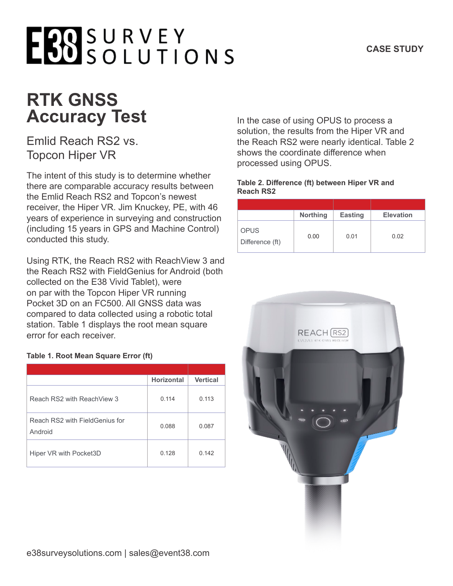## **RTK GNSS Accuracy Test**

### Emlid Reach RS2 vs. Topcon Hiper VR

The intent of this study is to determine whether there are comparable accuracy results between the Emlid Reach RS2 and Topcon's newest receiver, the Hiper VR. Jim Knuckey, PE, with 46 years of experience in surveying and construction (including 15 years in GPS and Machine Control) conducted this study.

Using RTK, the Reach RS2 with ReachView 3 and the Reach RS2 with FieldGenius for Android (both collected on the E38 Vivid Tablet), were on par with the Topcon Hiper VR running Pocket 3D on an FC500. All GNSS data was compared to data collected using a robotic total station. Table 1 displays the root mean square error for each receiver.

#### **Table 1. Root Mean Square Error (ft)**

|                                           | <b>Horizontal</b> | <b>Vertical</b> |
|-------------------------------------------|-------------------|-----------------|
| Reach RS2 with ReachView 3                | 0.114             | 0.113           |
| Reach RS2 with FieldGenius for<br>Android | 0.088             | 0.087           |
| Hiper VR with Pocket3D                    | 0.128             | 0.142           |

In the case of using OPUS to process a solution, the results from the Hiper VR and the Reach RS2 were nearly identical. Table 2 shows the coordinate difference when processed using OPUS.

#### **Table 2. Difference (ft) between Hiper VR and Reach RS2**

|                                | <b>Northing</b> | <b>Easting</b> | <b>Elevation</b> |
|--------------------------------|-----------------|----------------|------------------|
| <b>OPUS</b><br>Difference (ft) | 0.00            | 0.01           | 0.02             |

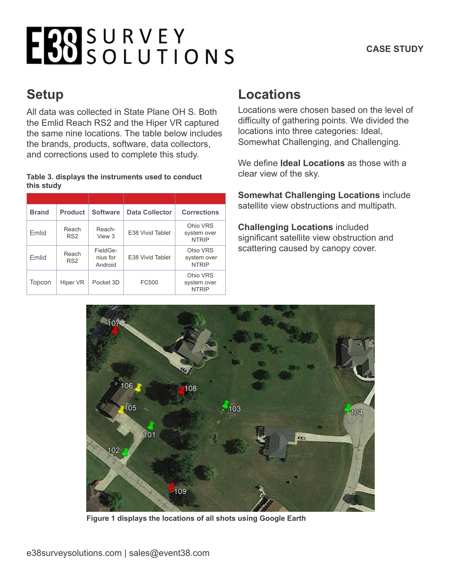## EBOSURVEY

### **Setup**

All data was collected in State Plane OH S. Both the Emlid Reach RS2 and the Hiper VR captured the same nine locations. The table below includes the brands, products, software, data collectors, and corrections used to complete this study.

#### **Table 3. displays the instruments used to conduct this study**

| <b>Brand</b> | <b>Product</b>           | <b>Software</b>                 | <b>Data Collector</b> | <b>Corrections</b>                      |
|--------------|--------------------------|---------------------------------|-----------------------|-----------------------------------------|
| <b>Fmlid</b> | Reach<br>RS <sub>2</sub> | Reach-<br>View 3                | E38 Vivid Tablet      | Ohio VRS<br>system over<br><b>NTRIP</b> |
| <b>Fmlid</b> | Reach<br>RS <sub>2</sub> | FieldGe-<br>nius for<br>Android | E38 Vivid Tablet      | Ohio VRS<br>system over<br><b>NTRIP</b> |
| Topcon       | Hiper VR                 | Pocket 3D                       | FC500                 | Ohio VRS<br>system over<br><b>NTRIP</b> |

### **Locations**

Locations were chosen based on the level of difficulty of gathering points. We divided the locations into three categories: Ideal, Somewhat Challenging, and Challenging.

We define **Ideal Locations** as those with a clear view of the sky.

**Somewhat Challenging Locations** include satellite view obstructions and multipath.

**Challenging Locations** included significant satellite view obstruction and scattering caused by canopy cover.



**Figure 1 displays the locations of all shots using Google Earth**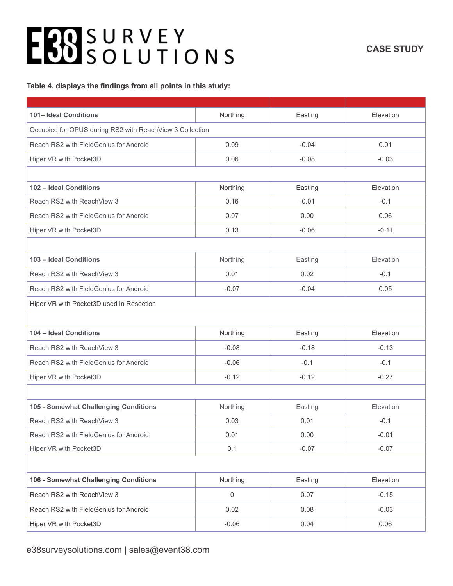#### **CASE STUDY**

#### **Table 4. displays the findings from all points in this study:**

| 101- Ideal Conditions                                    | Northing         | Easting | Elevation |
|----------------------------------------------------------|------------------|---------|-----------|
| Occupied for OPUS during RS2 with ReachView 3 Collection |                  |         |           |
| Reach RS2 with FieldGenius for Android                   | 0.09             | $-0.04$ | 0.01      |
| Hiper VR with Pocket3D                                   | 0.06             | $-0.08$ | $-0.03$   |
|                                                          |                  |         |           |
| 102 - Ideal Conditions                                   | Northing         | Easting | Elevation |
| Reach RS2 with ReachView 3                               | 0.16             | $-0.01$ | $-0.1$    |
| Reach RS2 with FieldGenius for Android                   | 0.07             | 0.00    | 0.06      |
| Hiper VR with Pocket3D                                   | 0.13             | $-0.06$ | $-0.11$   |
|                                                          |                  |         |           |
| 103 - Ideal Conditions                                   | Northing         | Easting | Elevation |
| Reach RS2 with ReachView 3                               | 0.01             | 0.02    | $-0.1$    |
| Reach RS2 with FieldGenius for Android                   | $-0.07$          | $-0.04$ | 0.05      |
| Hiper VR with Pocket3D used in Resection                 |                  |         |           |
|                                                          |                  |         |           |
| 104 - Ideal Conditions                                   | Northing         | Easting | Elevation |
| Reach RS2 with ReachView 3                               | $-0.08$          | $-0.18$ | $-0.13$   |
| Reach RS2 with FieldGenius for Android                   | $-0.06$          | $-0.1$  | $-0.1$    |
| Hiper VR with Pocket3D                                   | $-0.12$          | $-0.12$ | $-0.27$   |
|                                                          |                  |         |           |
| 105 - Somewhat Challenging Conditions                    | Northing         | Easting | Elevation |
| Reach RS2 with ReachView 3                               | 0.03             | 0.01    | $-0.1$    |
| Reach RS2 with FieldGenius for Android                   | 0.01             | 0.00    | $-0.01$   |
| Hiper VR with Pocket3D                                   | 0.1              | $-0.07$ | $-0.07$   |
|                                                          |                  |         |           |
| 106 - Somewhat Challenging Conditions                    | Northing         | Easting | Elevation |
| Reach RS2 with ReachView 3                               | $\boldsymbol{0}$ | 0.07    | $-0.15$   |
| Reach RS2 with FieldGenius for Android                   | 0.02             | 0.08    | $-0.03$   |
| Hiper VR with Pocket3D                                   | $-0.06$          | 0.04    | 0.06      |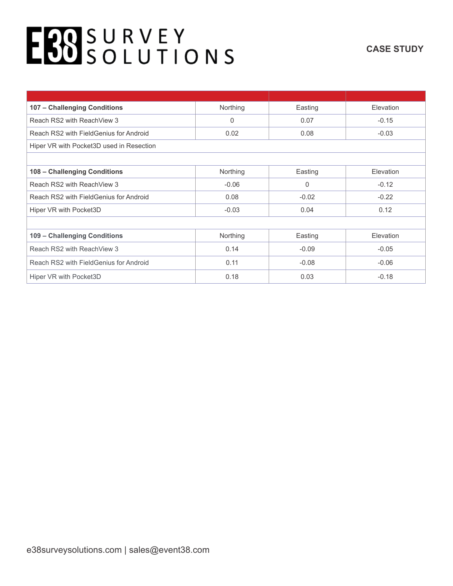| 107 - Challenging Conditions             | Northing | Easting  | Elevation        |  |
|------------------------------------------|----------|----------|------------------|--|
| Reach RS2 with ReachView 3               | 0        | 0.07     | $-0.15$          |  |
| Reach RS2 with FieldGenius for Android   | 0.02     | 0.08     | $-0.03$          |  |
| Hiper VR with Pocket3D used in Resection |          |          |                  |  |
|                                          |          |          |                  |  |
| 108 - Challenging Conditions             | Northing | Easting  | Elevation        |  |
| Reach RS2 with ReachView 3               | $-0.06$  | $\Omega$ | $-0.12$          |  |
| Reach RS2 with FieldGenius for Android   | 0.08     | $-0.02$  | $-0.22$          |  |
| Hiper VR with Pocket3D                   | $-0.03$  | 0.04     | 0.12             |  |
|                                          |          |          |                  |  |
| 109 - Challenging Conditions             | Northing | Easting  | <b>Elevation</b> |  |
| Reach RS2 with ReachView 3               | 0.14     | $-0.09$  | $-0.05$          |  |
| Reach RS2 with FieldGenius for Android   | 0.11     | $-0.08$  | $-0.06$          |  |
| Hiper VR with Pocket3D                   | 0.18     | 0.03     | $-0.18$          |  |